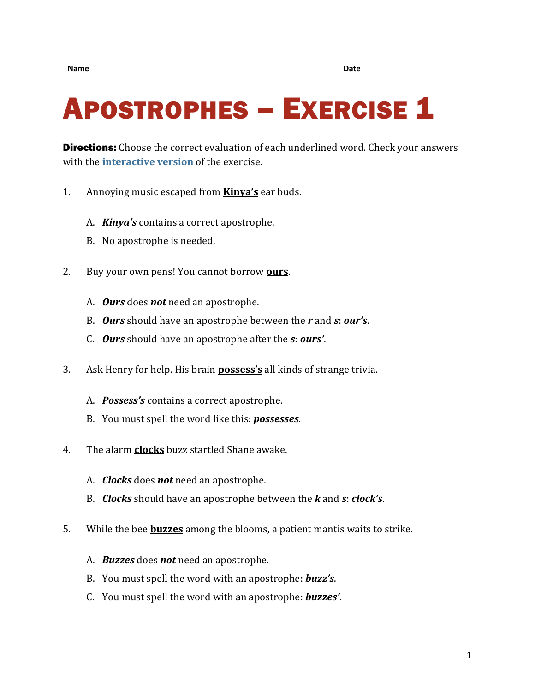## APOSTROPHES – EXERCISE 1

**Directions:** Choose the correct evaluation of each underlined word. Check your answers with the **[interactive version](https://chompchomp.com/hotpotatoes/apostrophes01.htm)** of the exercise.

- 1. Annoying music escaped from **Kinya's** ear buds.
	- A. *Kinya's* contains a correct apostrophe.
	- B. No apostrophe is needed.
- 2. Buy your own pens! You cannot borrow **ours**.
	- A. *Ours* does *not* need an apostrophe.
	- B. *Ours* should have an apostrophe between the *r* and *s*: *our's*.
	- C. *Ours* should have an apostrophe after the *s*: *ours'*.
- 3. Ask Henry for help. His brain **possess's** all kinds of strange trivia.
	- A. *Possess's* contains a correct apostrophe.
	- B. You must spell the word like this: *possesses*.
- 4. The alarm **clocks** buzz startled Shane awake.
	- A. *Clocks* does *not* need an apostrophe.
	- B. *Clocks* should have an apostrophe between the *k* and *s*: *clock's*.
- 5. While the bee **buzzes** among the blooms, a patient mantis waits to strike.
	- A. *Buzzes* does *not* need an apostrophe.
	- B. You must spell the word with an apostrophe: *buzz's*.
	- C. You must spell the word with an apostrophe: *buzzes'*.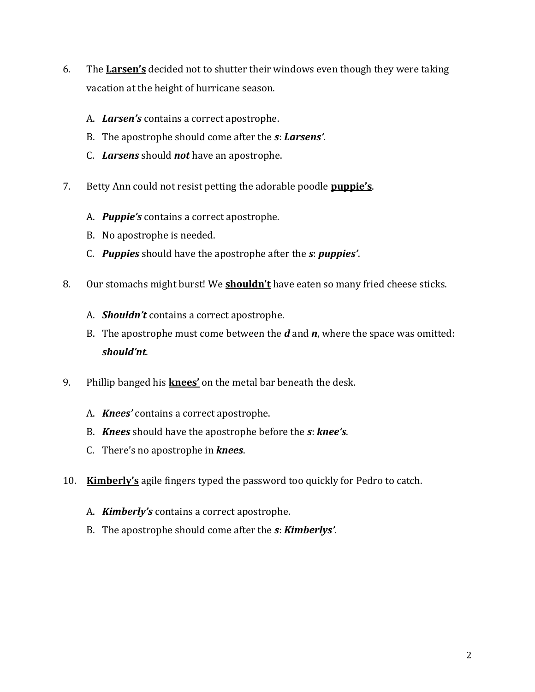- 6. The **Larsen's** decided not to shutter their windows even though they were taking vacation at the height of hurricane season.
	- A. *Larsen's* contains a correct apostrophe.
	- B. The apostrophe should come after the *s*: *Larsens'*.
	- C. *Larsens* should *not* have an apostrophe.
- 7. Betty Ann could not resist petting the adorable poodle **puppie's**.
	- A. *Puppie's* contains a correct apostrophe.
	- B. No apostrophe is needed.
	- C. *Puppies* should have the apostrophe after the *s*: *puppies'*.
- 8. Our stomachs might burst! We **shouldn't** have eaten so many fried cheese sticks.
	- A. *Shouldn't* contains a correct apostrophe.
	- B. The apostrophe must come between the *d* and *n*, where the space was omitted: *should'nt*.
- 9. Phillip banged his **knees'** on the metal bar beneath the desk.
	- A. *Knees'* contains a correct apostrophe.
	- B. *Knees* should have the apostrophe before the *s*: *knee's*.
	- C. There's no apostrophe in *knees*.
- 10. **Kimberly's** agile fingers typed the password too quickly for Pedro to catch.
	- A. *Kimberly's* contains a correct apostrophe.
	- B. The apostrophe should come after the *s*: *Kimberlys'*.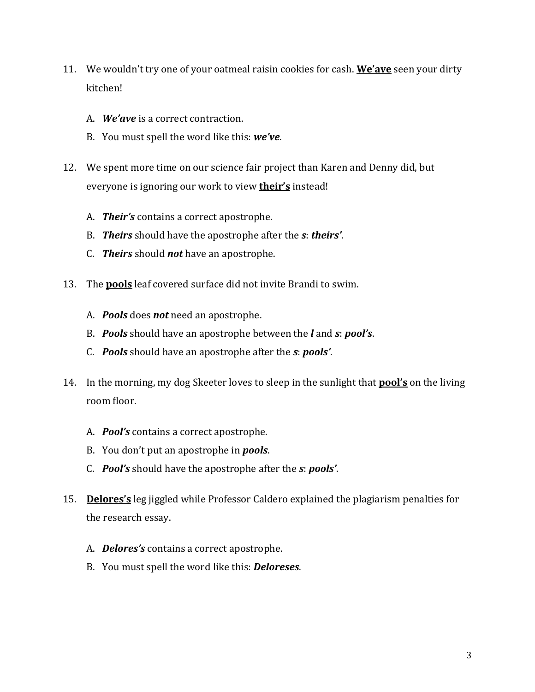- 11. We wouldn't try one of your oatmeal raisin cookies for cash. **We'ave** seen your dirty kitchen!
	- A. *We'ave* is a correct contraction.
	- B. You must spell the word like this: *we've*.
- 12. We spent more time on our science fair project than Karen and Denny did, but everyone is ignoring our work to view **their's** instead!
	- A. *Their's* contains a correct apostrophe.
	- B. *Theirs* should have the apostrophe after the *s*: *theirs'*.
	- C. *Theirs* should *not* have an apostrophe.
- 13. The **pools** leaf covered surface did not invite Brandi to swim.
	- A. *Pools* does *not* need an apostrophe.
	- B. *Pools* should have an apostrophe between the *l* and *s*: *pool's*.
	- C. *Pools* should have an apostrophe after the *s*: *pools'*.
- 14. In the morning, my dog Skeeter loves to sleep in the sunlight that **pool's** on the living room floor.
	- A. *Pool's* contains a correct apostrophe.
	- B. You don't put an apostrophe in *pools*.
	- C. *Pool's* should have the apostrophe after the *s*: *pools'*.
- 15. **Delores's** leg jiggled while Professor Caldero explained the plagiarism penalties for the research essay.
	- A. *Delores's* contains a correct apostrophe.
	- B. You must spell the word like this: *Deloreses*.